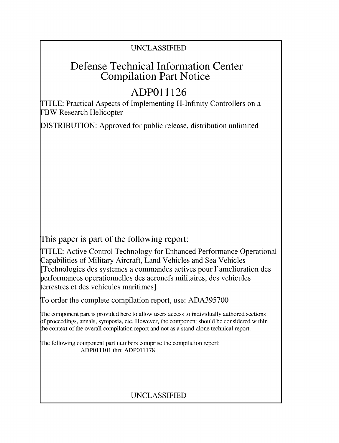## UNCLASSIFIED

# Defense Technical Information Center Compilation Part Notice

# **ADPO 11126**

TITLE: Practical Aspects of Implementing H-Infinity Controllers on a FBW Research Helicopter

DISTRIBUTION: Approved for public release, distribution unlimited

This paper is part of the following report:

TITLE: Active Control Technology for Enhanced Performance Operational Capabilities of Military Aircraft, Land Vehicles and Sea Vehicles [Technologies des systemes a commandes actives pour l'amelioration des performances operationnelles des aeronefs militaires, des vehicules terrestres et des vehicules maritimes]

To order the complete compilation report, use: ADA395700

The component part is provided here to allow users access to individually authored sections f proceedings, annals, symposia, etc. However, the component should be considered within [he context of the overall compilation report and not as a stand-alone technical report.

The following component part numbers comprise the compilation report: ADPO11101 thru ADP011178

# UNCLASSIFIED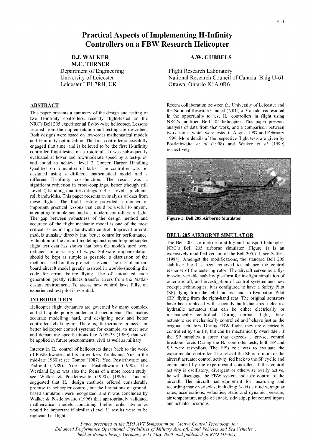## Practical Aspects of Implementing H-Infinity Controllers on a FBW Research Helicopter

**M.C.** TURNER

Department of Engineering Flight Research Laboratory

two H-infinity controllers, recently flight-tested on the in the opportunity to test H. controllers in flight using<br>NRC's modified Bell 205 helicopter. This paper presents NRC's Bell 205 experimental fly-by-wire helicopter. Lessons NRC's modified Bell *205* helicopter. This paper presents learned from the implementation and testing are described. analysis of data from that work, and a comparison between<br>Both designs work besed on low order methomotical models two designs, which were tested in August 1997 an Both designs were based on low-order mathematical models and H-infinity optimization. The first controller successfully and H-infinity and H-infinity optimization. The first controller successfully and H-infinity optimization. The first controller successfully **Postlethwaite** *e* engaged first time, and is believed to be the first H-infinity Postlethwaite respectively. controller flight-tested on a rotorcraft. It was subsequently evaluated at hover and low/moderate speed by a test-pilot, and found to achieve level 2 Cooper Harper Handling Qualities on a number of tasks. The controller was redesigned using a different mathematical model and a different H-infinity cost-function. The result was a significant reduction in cross-couplings, better (though still Level 2) handling qualities ratings of 4-5, Level 1 pitch and roll bandwidths. This paper presents an analysis of data from these flights. The flight testing provided a number of important practical lessons that could be useful to anyone attempting to implement and test modern controllers in flight. The gap between robustness of the design method and Figure **1:** Bell **205** Airborne Simulator accuracy of the flight mechanic model is one of the most critical issues in high bandwidth control. Improved aircraft models translate directly into better controller performance. BELL 205 AIRBORNE SIMULATOR Validation of the aircraft model against open loop helicopter The Bell 205 is a multi-role utility and transport helicopter. flight test data has shown that both the models used were NRC's Bell 205 airborne simulator (Figure 1) is an deficient in a variety of ways. Software implementation extensively modified version of the Bell 205A-1: see Sattler, should be kept as simple as possible; a discussion of the (1984). Amongst the modifications, the standard Bell 205 methods used for this project is given. The use of an on-<br>stabilizer bar has been removed to enhance the control board aircraft model greatly assisted in trouble-shooting the response of the teetering rotor. The aircraft serves as a flycode for errors before flying. Use of automated code by-wire variable stability platform for in-flight simulation of generation greatly reduces transfer errors from the Matlab other aircraft, and investigation of control systems and new design environment. To assess new control laws fully, an cockpit technologies. It is configured to have a Safety Pilot

and still quite poorly understood phenomena. This makes mechanically controlled. During normal flight, these accurate modelling hard, and designing new and better accurate modelling hard, and designing new and better actuators are mechanically controlled and behave just as the controllers challenging. There is, furthermore, a need for controllers challenging. There is, furthermore, a need for original actuators. During FBW flight, they are electrically<br>better helicopter control systems: for example, to meet new controlled by the EP, but can be mechanica and demanding specifications like ADS-33 (1989) that will the SP supplies a force that exceeds a pre-set control

of Postlethwaite and his co-workers Tombs and Yue in the experimental controller. The role of the SP is to monitor the mid-late 1980's: see Tombs (1987): Yue Postlethwaite and aircraft actuator control activity fed back to mid-late 1980's: see Tombs (1987); Yue, Postlethwaite and aircraft actuator control activity fed back to the SP cyclic and Pastlethwaite (1990). The commanded by the experimental controller. If this control Padfield (1989); Yue and Postlethwaite (1990). The Westland Lynx was also the focus of a more recent study: activity is oscillatory, divergent or otherwise overly active, see Walker & Postlethwaite (1990). (1996) This all he will disengage the FBW system and take control o see Walker & Postlethwaite (1990), (1996). This all he will disengage the FBW system and take control of the suggested that H, design methods offered considerable aircraft. The aircraft has equipment for measuring and suggested that H. design methods offered considerable aircraft. The aircraft has equipment for measuring and<br>promise in heliconter control but the limitations of ground-<br>recording many variables, including: 3-axis attitude promise in helicopter control, but the limitations of groundbased simulation were recognized, and it was concluded by rates, accelerations, velocities, static and dynamic pressure,<br>Walker & Postlethwaite (1996) that appropriately validated air temperature, angle-of-attack, side-sli Walker & Postlethwaite (1996) that appropriately validated air temperature, angle-<br>mathematical models containing higher order dynamics and actuator positions. mathematical models containing higher order dynamics would be important if similar (Level 1) results were to be replicated in flight,

### **D.J. WALKER A.W. GUBBELS**

University of Leicester National Research Council of Canada, Bldg U-61 Leicester LE1 7RH, UK Ottawa, Ontario K1A 0R6

**ABSTRACT**<br>This paper presents a summary of the design and testing of the National Research Council (NRC) of Canada has resulted This paper presents a summary of the design and testing of the National Research Council (NRC) of Canada has resulted<br>two Highling controllers recently flight tested on the proportunity to test H, controllers in flight usi



experienced test pilot is essential. (SP) flying from the left-hand seat and an Evaluation Pilot **INTRODUCTION** (EP) flying from the right-hand seat. The original actuators have been replaced with specially built dual-mode electro-<br>Helicopter flight dynamics are governed by many complex hydraulic actuators that can be either electrically or be applied in future procurements, civil as well as military.<br>
breakout force, During the H. controller tests, both EP and Interest in H. control of helicopters dates back to the work SP were test-pilots. The EP's role was to evaluate the of Postlethwaite and his co-workers Tombs and Yue in the experimental controller. The role of the SP is to

*Paper presented at the RTO A VT Svmposium on "Active Control Technology for Enhanced Performance Operational Capabilities of Military Aircrqft, Land Vehicles and Sea Vehicles held in Braunschweig, Germany, 8-11 May 2000, and published in RTO MP-051.*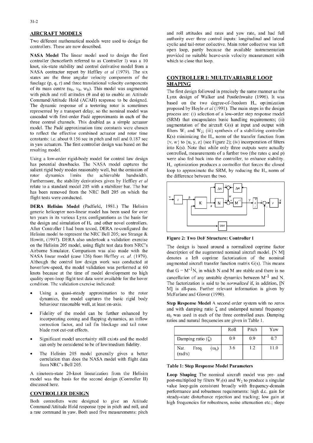Two different mathematical models were used to design the controllers. These are now described.

controller (henceforth referred to as Controller I) was a 10 which to close that loop. knot, six-state stability and control derivative model from a NASA contractor report by Heffley *et al* (1979). The six states are the three angular velocity components of the CONTROLLER **I:** MULTIVARIABLE LOOP fuselage **(p,** q, r) and three translational velocity components **SHAPING** of its mass centre  $(u_B, v_B, w_B)$ . This model was augmented The first design followed in precisely the same manner as the with pitch and roll attitudes  $(\theta$  and  $\phi)$  to enable an Attitude Lynx design of Walker and Postlethwaite (1996). It was Command/Attitude Hold (ACAH) response to be designed.<br>The dynamic assessment of a testating actor is comptimed. The dynamic response of a teetering rotor is sometimes based on the two degree-of-freedom  $H_{\infty}$  optimization<br>proposed by Hoyle *et al* (1991). The main steps in the design represented by a transport delay, so the nominal model was<br>cascaded with first-order Padé approximants in each of the process are: (i) selection of a low-order step response model cascaded with rise-order I ade approximation in each of the<br>three control channels. This doubled as a simple actuator<br>model. The Padé approximation time constants were chosen<br>to reflect the effective combined actuator and constants: i.e. about 0.156 sec in pitch and roll and 0.187 sec  $\{x, w\}$  to  $\{u, v, z\}$  (see Figure 2); (iv) incorporation of filters in yaw actuators. The first controller design was based on the

salient rigid body modes reasonably well, but the omission of loop to approximate the SRM, by reducing the  $H<sub>es</sub>$  norm of rotor dynamics limits the achievable bandwidth. the difference between the two. Furthermore, the stability derivatives given by Heffley et *at* relate to a standard model 205 with a stabilizer bar. The bar has been removed from the NRC Bell 205 on which the flight tests were conducted.

DERA Helisim Model (Padfield, 1981.) The Helisim generic helicopter non-linear model has been used for over ten years in its various Lynx configurations as the basis for the design and simulation of H. and other novel controllers. After Controller I had been tested, DERA re-configured the Helisim model to represent the NRC Bell 205; see Strange **&** Howitt, (1997). DERA also undertook a validation exercise Figure 2: Two DoF Structure: Controller **I** on the Helisim 205 model, using flight test data firom NRC's The design is based around a normalized coprime factor Airborne Simulator. Comparison was also made with the description of the augmented nominal aircraft model. [N M] NASA linear model (case 126) from Heffley *et.* **a/.** (1979). denotes a left coprime factorization of the nominal Although the control law design work was conducted at  $\frac{1}{\text{augmented}}$  augmented aircraft transfer function matrix  $G(s)$ . This means hover/low-speed, the model validation was performed at  $60$  that  $G = M^{-1}N$ , in which N and M are stable and there is no knots because at the time of model development no high that  $G = M - N$ , in which N and M are stable and there is no<br>quality open-loop flight test data were available for the hover<br>cancellation of any unstable dynamics betwee quality open-loop flight test data were available for the hover condition. The validation exercise indicated:

- dynamics, the model captures the basic rigid body
- incorporating coning and flapping dynamics, an inflow ratios and natural frequencies are given in Table 1. correction factor, and tail fin blockage and tail rotor blade root cut-out effects.
- Significant model uncertainty still exists and the model can only be considered to be of low/medium fidelity.
- The Helisim 205 model generally gives a better correlation than does the NASA model with flight data from NRC's Bell 205. Table **1:** Step Response Model Parameters

A nineteen-state 20-knot linearization from the Helisim Loop Shaping The nominal aircraft model was pre- and

Command/Attitude Hold response type in pitch and roll, and a rate command in yaw. Both used five measurements: pitch

AIRCRAFT **MODELS** and roll attitudes and rates and yaw rate, and had full cyclic and tail-rotor collective. Main rotor collective was left open loop, partly because the available instrumentation NASA Model The linear model used to design the first provided no suitable heave-axis velocity measurement with

into K(s). Note that while only three outputs were actually resulting model.<br>
eontrolled, measurements of a further two (the rates q and p) Using a low-order rigid-body model for control law design were also fed back into the controller, to enhance stability.<br>
has potential drawbacks. The NASA model captures the H<sub>n</sub> optimization produces a controller that for  $H_\infty$  optimization produces a controller that forces the closed





The factorization is said to be *normalized* if, in addition, [N Using a quasi-steady approximation to the rotor M is all-pass. Further relevant information is given by McFarlane and Glover (1990).

 $\frac{1}{2}$  behaviour reasonable well, at least on-axis.<br>Behaviour reasonable well, at least on-axis.<br>and with damping ratio  $\zeta$  and undamped natural frequency Fidelity of the model can be further enhanced by  $\omega_0$  was used in each of the three controlled axes. Damping

|                                          | Roll | Pitch | Yaw  |
|------------------------------------------|------|-------|------|
| Damping ratio $(\zeta)$                  | 0.9  | 0.9   | 0.7  |
| Nat.<br>$(\omega_0)$<br>Freq.<br>(rad/s) | 3.6  | 1.2   | 11.0 |

model was the basis for the second design (Controller II) post-multiplied by filters  $W_1(s)$  and  $W_2$  to produce a singular discussed here. value loop-gain consistent broadly with frequency-domain **CONTROLLER DESIGN performance and robustness requirements:** high d.c. gain for steady-state disturbance rejection and tracking; low gain at Both controllers were designed to give an Attitude high frequencies for robustness, noise attenuation etc.; slope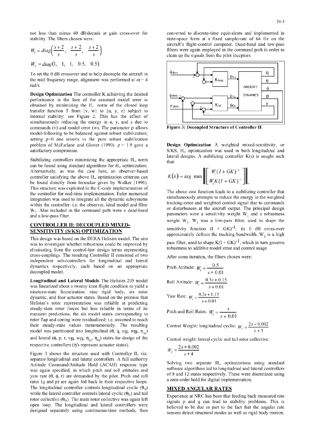not less than minus 40 dB/decade at gain cross-over for converted to discrete-time equivalents and implemented in stability. The filters chosen were: state-space form at a fixed sample-rate of 64 Hz on the

$$
W_1 = diag\left(\frac{s+2}{s}, \frac{s+2}{s}, \frac{s+2}{s}\right)
$$
  
 $W_2 = diag(1, 1, 1, 0.5, 0.5)$ 

To set the 0 dB crossover and to help decouple the aircraft in **d -q V**  the mid frequency range, alignment was performed at  $\omega = 4$  **b**  $\star$  **b**  $\star$  **c**  $\star$  **b**  $\star$  **c**  $\star$  **c**  $\star$  **c**  $\star$  **c**  $\star$  **c**  $\star$  **c**  $\star$  **c**  $\star$  **c**  $\star$  **c**  $\star$  **c**  $\star$  **c**  $\star$  **c**  $\star$  **c**  $\star$  **c**  $\star$ rad/s. AIRCRAFT **AIRCRAFT** 

**Design Optimization** The controller K achieving the desired  $\phi_{\text{dem} + \alpha}$   $\phi_{\text{dem} + \alpha}$ **Design Optimization** The controller K achieving the desired<br>
performance in the face of the assumed model error is  $\rho_{\text{dem}} + \rho_{\text{Rem}} + \rho_{\text{Rem}} + \rho_{\text{Rem}} + \rho_{\text{Rem}}$ obtained by minimizing the H. norm of the closed loop  $\begin{array}{c|c|c|c|c|c|c|c|c} \hline \end{array}$ **Rules**  $\begin{array}{c|c|c|c} \hline \end{array}$ **K**lat  $\begin{array}{c|c|c|c} \hline \end{array}$ transfer function T from  $\{v, w\}$  to  $\{u, v, z\}$  subject to internal stability: see Figure 2. This has the effect of simultaneously reducing the energy in u, y, and z due to commands (v) and model error (w). The parameter  $\rho$  allows **Figure 3: Decoupled Structure of Controller II** model-following to be balanced against robust stabilization; setting  $p=0$  one reverts to the pure robust stabilization problem of McFarlane and Glover (1990).  $\rho = 1.9$  gave a **Design Optimization** A weighted mixed-sensitivity, or

Stabilizing controllers minimizing the appropriate  $H_\infty$  norm that: can be found using standard algorithms for  $H<sub>\infty</sub>$  optimization. Alternatively, as was the case here, an observer-based controller satisfying the above H<sub>∞</sub> optimization criterion can be found directly from formulae given by Walker (1996). This structure was exploited in the C-code implementation of The above cost function leads to a stabilizing controller that<br>the controller for real-time implementation. Euler numerical<br>integration was used to integrate all the dynamic subsystems  $W_1$ . Also included in the command path were a dead-band

eliminating from the control-law design terms representing cross-couplings. The resulting Controller II consisted of two After some iteration, the filters chosen were: independent sub-controllers for longitudinal and lateral dynamics respectively, each based on an appropriate decoupled model.

Longitudinal and Lateral Models The Helisim 205 model was linearized about a twenty knot flight condition to yield a nineteen-state linearization: nine rigid body, six rotor dynamic, and four actuator states. Based on the premise that Helisim's rotor representation was reliable at predicting steady-state rotor forces but less reliable in terms of its transient predictions, the six model states corresponding to rotor flap and coning were residualized: i.e. assumed to reach their steady-state values instantaneously. The resulting Control Weight: longitudinal cyclic:  $W_2 = \frac{2s + 0.002}{s + 5}$  model was partitioned into longitudinal ( $\theta$ , q, u<sub>B</sub>, w<sub>B</sub>, n<sub>1</sub>) model was partitioned into longitudinal  $(\theta, q, ug, wg, \eta_{ls})$ and lateral ( $\phi$ , p, r, vB, wB,  $\eta_{1c}$ ,  $\eta_{0t}$ ) states for design of the Control weight: lateral cyclic and tail rotor collective: respective controllers ( $\eta$ 's represent actuator states).

Figure 3 shows the structure used with Controller II, viz.  $\frac{m_2}{s} + 4$ separate longitudinal and lateral controllers. A full authority Attitude Command/Attitude Hold (ACAH) response type Solving two separate H<sub>2</sub> optimizations using standard was again specified, in which pitch and roll attitudes and software algorithms led to longitudinal and lateral controllers<br>was again specified, in which pitch and roll attitudes and of 8 and 12 states respectively. These yaw rate  $(\theta, \phi, r)$  are demanded by the pilot. Pitch and roll of 8 and 12 states respectively. These were discretized using the set of 8 and 12 states respectively. These were discretized using the set of 8 and 12 states rates (q and p) are again fed back in their respective loops. The longitudinal controller controls longitudinal cyclic  $(\theta_{1s})$  **MIXED ANGULAR RATES** while the lateral controller controls lateral cyclic  $(\theta_{lc})$  and tail rotor collective  $(\theta_{0t})$ . The main rotor collective was again left signals **p** and **q** can lead to stability problems. This is open loop. The longitudinal and lateral controllers were believed to be due in part to the fact that the angular rate

aircraft's flight-control computer. Dead-band and low-pass filters were again employed in the command path in order to clean up the signals from the pilot inceptors.



satisfactory compromise.  $S/KS$ ,  $H_{\infty}$  optimization was used in both longitudinal and lateral designs. A stabilizing controller  $K(s)$  is sought such

$$
K(s) = \arg \min \left\{ \left[ \frac{W_1(I + GK)^{-1}}{W_2K(I + GK)^{-1}} \right] \right\|_{\infty}
$$

integration was used to integrate all the dynamic subsystems simultaneously attempts to reduce the energy in the weighted<br>tracking-error and weighted control signal due to commands within the controller: i.e. the observer, ideal model and filter a deal-hand weighted control signal due to commands with the command nath were a dead-hand or disturbances at the aircraft output. The principal design and a low-pass filter.<br>and a low-pass filter, parameters were a sensitivity weight  $W_1$  and a robustness **CONTROLLER II: DECOUPLED MIXED-** weight W<sub>2</sub>. W<sub>1</sub> was a low-pass filter, used to shape the **SENSITIVITY (S/KS) OPTIMIZATION** sensitivity function  $(I + GK)^{-1}$ ; its 0 dB cross-over **SENSITIVITY (S/KS) OPTIMIZATION** approximately defines the tracking bandwidth. W<sub>2</sub> is a high This design was based on the DERA IIelisim model. The aim First design was based on the DERA Frems in hode. The aim pass filter, used to shape  $K(I + GK)^{-1}$ , which in turn governs was to investigate whether robustness in terms representing pass filter, used to shape  $K(I + GK)^{-1}$ , whi

Pitch Attitude: 
$$
W_1 = \frac{0.5}{s + 0.01}
$$
  
\nRoll Attitude:  $W_1 = \frac{0.3s + 0.15}{s + 0.01}$   
\nYaw Rate:  $W_1 = \frac{0.3s + 0.15}{s + 0.01}$   
\nPitch and Roll Rates:  $W_1 = \frac{s}{s + 0.01}$ 

$$
W_2 = \frac{2s + 0.002}{s + 4}
$$

Experience at NRC has been that feeding back measured rate designed separately using continuous-time methods, then sensors detect structural modes as well as rigid body motion.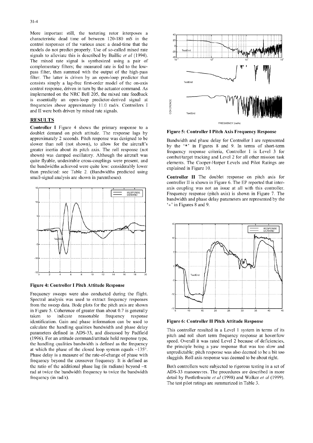More important still, the teetering rotor interposes a characteristic dead time of between 120-180 mS in the control responses of the various axes: a dead-time that the **0** models do not predict properly. Use of so-called mixed rate  $\begin{bmatrix} 1 & 1 \\ 0 & \text{otherwise} \end{bmatrix}$ signals to alleviate this is described by Baillie *et al* (1994). The mixed rate signal is synthesized using a pair of complementary filters; the measured rate is fed to the low-<br>pass filter, then summed with the output of the high-pass filter. The latter is driven by an open-loop predictor that consists simply a lag-free first-order model of the on-axis control response, driven in turn by the actuator command. As implemented on the NRC Bell 205, the mixed rate feedback is essentially an open-loop predictor-derived signal at frequencies above approximately 11.0 rad/s. Controllers I is essentially an open-loop predictor-derived signal at<br>frequencies above approximately 11.0 rad/s. Controllers I<br>and II were both driven by mixed rate signals.

## **RESULTS**

Controller **I** Figure 4 shows the primary response to a doublet demand on pitch attitude. The response lags **by** Figure **5:** Controller **I** Pitch Axis Frequency Response approximately 2 seconds. Pitch response was designed to be Bandwidth and phase delay for Controller I are represented the bandwidths achieved were quite low: considerably lower explained in Figure 10. than predicted: see Table 2. (Bandwidths predicted using small-signal analysis are shown in parentheses). Controller **II** The doublet response on pitch axis for



Figure 4: Controller **I** Pitch Attitude Response

Frequency sweeps were also conducted during the flight. Spectral analysis was used to extract frequency responses from the sweep data. Bode plots for the pitch axis are shown in Figure 5. Coherence of greater than about 0.7 is generally  $\frac{1}{16}$   $\frac{1}{10}$   $\frac{1}{16}$   $\frac{1}{20}$ taken to indicate reasonable frequency response identification. Gain and phase information can be used to Figure 6: Controller II Pitch Attitude Response calculate the handling qualities bandwidth and phase delay This controller resulted in a Level 1 system in terms of its Phase delay is a measure of the rate-of-change of phase with sluggish. Roll axis response was also deemed to be a bout right. frequency beyond the crossover frequency. It is defined as the ratio of the additional phase lag (in radians) beyond  $-\pi$  Both controllers were subjected to rigorous testing in a set of



slower than roll (not shown), to allow for the aircraft's by the '\*' in Figures 8 and 9. In terms of short-term greater inertia about its pitch axis. The roll response (not frequency response criteria, Controller I is Level 3 for shown) was damped oscillatory. Although the aircraft was combat/target tracking and Level 2 for all other mission task quite flyable, undesirable cross-couplings were present, and elements. The Cooper-Harper Levels and Pilot Ratings are

> controller II is shown in Figure 6. The EP reported that inter-**<sup>5</sup>**axis coupling was not an issue at all with this controller. **EXESPONSE Frequency response** (pitch axis) is shown in Figure 7. The bandwidth and phase delay parameters are represented by the '+' in Figures 8 and 9.



parameters defined in ADS-33, and discussed by Padfield pitch and roll short term frequency response at hover/low (1996). For an attitude command/attitude hold response type, speed. Overall it was rated Level 2 because of deficiencies, the handling qualities bandwidth is defined as the frequency the principle being a yaw response that was too slow and at which the phase of the closed loop system equals -135°. unpredictable: pitch response was also deemed to be a bit too

rad at twice the bandwidth frequency to twice the bandwidth ADS-33 manoeuvres. The procedures are described in more frequency (in rad/s). detail by Postlethwaite *et al* (1998) and Walker *el at* (1999). The test pilot ratings are summarized in Table 3.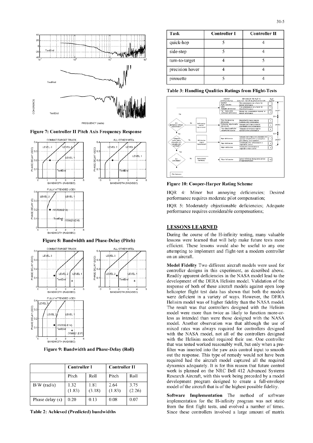

**FREQUENCY** (rad/s)

Figure **7:** Controller **If** Pitch Axis Frequency Response





|                   | <b>Controller I</b> |                | <b>Controller II</b> |                |
|-------------------|---------------------|----------------|----------------------|----------------|
|                   | Pitch               | Roll           | Pitch                | Roll           |
| $B/W$ (rad/s)     | 1.32<br>(1.83)      | 1.81<br>(3.18) | 2.64<br>(1.83)       | 3.75<br>(2.26) |
| Phase delay $(s)$ | 0.20                | 0.13           | 0.08                 | 0.07           |

| Task            | <b>Controller I</b> | <b>Controller II</b> |
|-----------------|---------------------|----------------------|
| quick-hop       |                     |                      |
| side-step       |                     |                      |
| turn-to-target  |                     |                      |
| precision hover |                     |                      |
| pirouette       |                     |                      |

Table **3:** Handling Qualities Ratings from Flight-Tests



**Figure 10: Cooper-Harper Rating Scheme** 

 $HQR = 4$ : Minor but annoying deficiencies; Desired

HQR 5: Moderately objectionable deficiencies; Adequate

During the course of the H-infinity testing, many valuable Figure 8: Bandwidth and Phase-Delay (Pitch) lessons were learned that will help make future tests more TOMBATTARGET TRACK ALL OTHER MTES **EXECUTE:** These lessons would also be useful to any one attempting to implement and flight-test a modern controller

LEVEL 2 LEVEL 1 3<sup>0.2</sup> LEVEL 2 CONTROLLER CONTROLLER CONTROLLER STATES and above. **EXEMPLE TERA Helisim model. Validation of the response of both of the DERA Helisim model. Validation of the response of both of these aircraft models against open loop <b>believer b 1 1 1 1 1 1 1 1 1** helicopter flight test data has shown that both the models ATTENDED UCEI **ICLY** ATTENDED UCEI **ICLY** ATTENDED UCEI **ICLY** ATTENDED UCEI **ICLY** ATTENDED UCEI **ICLY** AND THE DERA  $\begin{array}{c|c|c|c|c|c} \text{level} & \text{level} & \text{model} \text{ were more than twice as likely to function more-or-} \end{array}$ **Product SPROSE 24) SPROSE 24) CONSECTED SPROSE ONE CONSECTED SPROGREM CONSECTED CONSECTED CONSECTED CONSECTED CONSECTED CONSECTED CONSECTED CONSECTED CONSECTED CONSECTED CONSECTED CONSECT t(Y9912l.E17)** with the NASA model, not all of the controllers designed <sup>O</sup>**1** 2 **3** 4 **5** with the Helisim model required their use. One controller **BANDWITH (RAD/SEC)**<br>Figure 9: Bandwidth and Phase-Delay (Roll) **that was tested worked reasonably well**, but only when a pre-<br>filter was inserted into the yaw axis control input to smooth filter was inserted into the yaw axis control input to smooth out the response. This type of remedy would not have been required had the aircraft model captured all the required dynamics adequately. It is for this reason that future control work is planned on the NRC Bell 412 Advanced Systems Research Aircraft, with this work being preceded by a model development program designed to create a full-envelope model of the aircraft that is of the highest possible fidelity.

Software Implementation The method of software implementation for the H-infinity program was not static from the first flight tests, and evolved a number of times. Table 2: Achieved (Predicted) bandwidths Since these controllers involved a large amount of matrix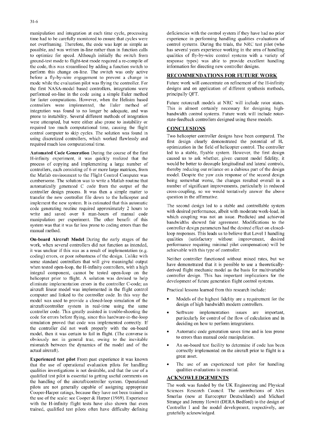time had to be carefully monitored to ensure that cycles were not overframing. Therefore, the code was kept as simple as control systems. During the trials, the NRC test pilot (who possible, and was written in-line rather than in function calls has several years experience working in the area of handling<br>to optimize for speed. Although initially the switch from qualities of fly-by-wire control system to optimize for speed. Although initially the switch from ground-test mode to flight-test mode required a re-compile of response types) was able to provide excellent handling the code, this was streamlined by adding a function switch to information for directing new controller designs. perforn this change on-line, The switch was only active before a fly-by-wire engagement to prevent a change in **RECOMMENDATIONS** FOR **FUTURE** WORK mode while the evaluation pilot was flying the controller. For Future work will concentrate on refinement of the H-infinity the first NASA-model based controllers, integrations were designs and on application of different synthesis methods, performed on-line in the code using a simple Euler method principally QFT. for faster computations. However, when the Helisim based<br>controllers was implemented the Fular mothod of Future rotorcraft models at NRC will include rotor states. controllers were implemented, the Euler method of This is almost certainly necessary for designing highintegration was found to no longer be adequate, and was bandwidth control systems. Future work will include rotorprone to instability. Several different methods of integration state-feedback controllers designed using these models. were attempted, but were either also prone to instability or required too much computational time, causing the flight **CONCLUSIONS** control computer to skip cycles. The solution was found in Two helicopter controller designs have been compared. The using discretized controllers, which worked flawlessly and first design clearly demonstrated the potential of H.

H-infinity experiment, it was quickly realized that the process of copying and implementing a large number of would be better to decouple longitudinal and lateral controls, controllers, each consisting of 6 or more large matrices, from thereby reducing our reliance on a dubious part of the design<br>the Matlab environment to the Flight Control Computer was model. Despite the vaw axis response of the Matlab environment to the Flight Control Computer was model. Despite the yaw axis response of the second design cumbersome. The solution was to write a Matlab routine that being somewhat worse, the changes resulted ove cumbersome. The solution was to write a Matlab routine that automatically generated C code from the output of the number of significant improvements, particularly in reduced controller design process. It was then a simple matter to cross-coupling, so we would tentatively answer the controller design process. It was then a simple matter to cross-coupling, so we would transfer the new controller file down to the heliconter and question in the affirmative. transfer the new controller file down to the helicopter and implement the new system. It is estimated that this automatic The second design led to a stable and controllable system code generating routine required approximately 2 hours to with desired performance, albeit with moderate work-load, in write and saved over 8 man-hours of manual code which coupling was not an issue. Predicted and achieved manipulation per experiment. The other benefit of this bandwidths showed fair agreement. Modifications to the curtom use that it wester loss proporte ording organishes then system was that it was far less prone to coding errors than the controller design parameters had the desired effect on closed-<br>controller design parameters had the desired effect on closed-

On-board Aircraft Model During the early stages of the qualities (satisfactory without improvement, desired work, when several controllers did not function as intended, performance requiring minimal pilot compensation) wil work, when several controllers did not function as intended, it was unclear if this was as a result of implementation (e.g. achievable with this type of controller. coding) errors, or poor robustness of the design. Unlike with Neither controller functioned without mixed rates, but we some standard controllers that will give meaningful output have demonstrated that it is possible to use a theoreticallywhen tested open-loop, the H-infinity controllers, with a high derived flight mechanic model as the basis for multivariable integral component, cannot be tested open-loop on the controller design. This has important implications for the half controller design. This has important implications for the helicopter prior to flight. A solution was devised to help development of future generation flight control systems. eliminate implementation errors in the controller C-code; an aircraft linear model was implemented in the flight control Practical lessons learned from this research include: computer and linked to the controller code. In this way the model was used to provide a closed-loop simulation of the \* Models of the highest fidelity are a requirement for the  $\frac{1}{2}$  model was used to provide a closed-loop simulation of the  $\frac{1}{2}$  models of high bandwidth mo aircraft/controller system in real-time using the same controller code. This greatly assisted in trouble-shooting the \* Software implementation issues are important, code for errors before flying, since this hardware-in-the-loop particularly for control of the flow of calculation and in simulation proved that code was implemented correctly. If deciding on how to perform integrations. the controller did not work properly with the on-board model, then it was certain to fail in flight. (The converse is a durantic code generation saves time and is less prone<br>chief converse is the converse is to fail in flight. (The converse is to errors than manual code manipu obviously not in general true, owing to the inevitable mismatch between the dynamics of the model and of the **0 An on-board test facility to determine if code has been** 

**Experienced test pilot** From past experience it was known great asset. that the use of operational evaluation pilots for handling **0**  $\bullet$  The use of an experienced test pilot for handling qualities investigations is not desirable, and that the use of a qualities evaluations is essential. qualities investigations is not desirable, and that the use of a qualified test pilot is essential to getting useful comments on **ACKNOWLEDGEMENTS** the handling of the aircraft/controller system. Operational pilots are not generally capable of assigning appropriate The work was funded by the UK Engineering and Physical Frow are not generatings, because they have not been trained in Sciences Research Council. The contributions of Alex<br>Cooper-Harper ratings, because they have not been trained in Smerlas (now at Eurocopter Deutschland) and the use of the scale: see Cooper & Harper (1969). Experience Smerlas (now at Eurocopter Deutschland) and Michael<br>with the H infinity flight tests have also shown that even Strange and Jeremy Howitt (DERA Bedford) to the de with the H-infinity flight tests have also shown that even Strange and Jeremy Howitt (DERA Bedford) to the design of<br>trained qualified test pilots often have difficulty defining Controller I and the model development, resp trained, qualified test pilots often have difficulty defining

manipulation and integration at each time cycle, processing deficiencies with the control system if they have had no prior time had to be carefully monitored to ensure that cycles were experience in performing handling qua

required much less computational time.<br>optimization in the field of helicopter control. The controller Automated Code Generation During the course of the first led to a stable, flyable system. However, the first design<br>H-infinity experiment, it was quickly realized that the caused us to ask whether, given current model fide

loop responses. This leads us to believe that Level 1 handling

- 
- 
- 
- actual aircraft). correctly implemented on the aircraft prior to flight is a
	-

gratefully acknowledged,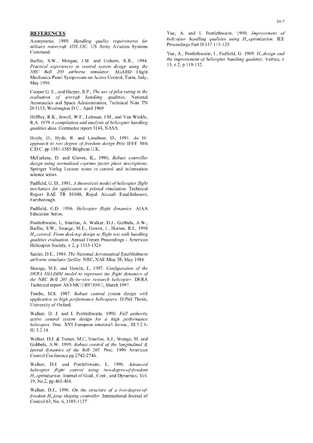Anonymous. 1989. *Handling quality requirements for helicopter handling qualities using the mandling qualities using H1Optimization. Proceedings Part D 137:115-129. military rotorcraft ADS-33C.* US Army Aviation Systems Command.

*Practical experiences in control system design using the* NRC *Bell 205 airborne simulator.* AGARD Flight Mechanics Panel Symposium on Active Control, Turin, Italy, May 1994.

Cooper G. **E.,** and Harper, R.P., *The use of pilot rating in the evaluation of aircrqft handling qualities,* National Aeronautics and Space Administration, Technical Note TN D-5153, Washington D.C., April 1969

Heffley, R.K., Jewell, W.F., Lehman, J.M., and Van Winkle, R.A. 1979 *A compilation and analysis of helicopter handling qualities data.* Contractor report 3144, NASA.

Hoyle, D., Hyde, R. and Limebeer, D., 1991. *An H. approach to two degree of freedom design* Proc IEEE 30th C.D.C. pp 1581-1585 Brighton U.K.

McFarlane, D. and Glover, K., 1990, *Robust controller design using normalized coprime factor plant descriptions.* Springer Verlag Lecture notes in control and information science series.

Padficld, **G.** D., 1981. *A theoretical model of helicopter flight mechanics fbr application to piloted simulation.* Technical Report RAE TR 81048, Royal Aircraft Establishment, Farnborough.

Padfield, G.D. 1996. *Helicopter flight dynamics.* AIAA Education Series.

Postlethwaite, I., Smerlas, A. Walker, D.J., Gubbels, AW., Baillie, S.W., Strange, M.E., Howitt, J., Horton, R.I., 1998 *H-control: From desk-top design to flight test with handling qualities evaluation.* Annual Forum Proceedings - American Helicopter Society, v 2, p 1313-1324

Sattler, D.E., 1984. *The National Aeronautical Establishment airborne simulator facility.* NRC. NAE Misc 58, May 1984.

Strange, M.E. and Howitt, J., 1997. *Configuration of the DERA HELISIM model to represent the flight dynamics of the NRC Bell 205 fly-by-wire research helicopter.* DERA Technical report AS/FMC/TR97459/1, March 1997.

Tombs, M.S. 1987. *Robust control system design with application to high perfbrmance helicopters.* D.Phil Thesis, University of Oxford.

Walker, D. J. and I. Postlethwaite. 1990. *Full authority active control system design for a high performance helicopter.* Proc. XVI European rotorcraft forum., 111.3.2.1- 111.3.2,14.

Walker, D.J. & Turner, M.C, Smerlas, A.J., Strange, M. and Gubbels, A.W. 1999. *Robust control of the longitudinal & lateral dynamics of the Bell 205.* Proc. 1999 American Control Conference pp 2742-2746.

Walker, D.J. and Postlethwaite, I., 1996. *Advanced helicopter flight control using two-degree-of-freedom* H<sub>∞</sub>optimization. Journal of Guid., Cont., and Dynamics, Vol.  $19, \text{No.2}, \text{pp.461-468}.$ 

Walker, D.J., 1996. On the structure of a two-degree-of*freedom H<sub>2</sub>loop shaping controller.* International Journal of Control 63, No. 6, 1105-1127

**REFERENCES** Yue, A. and I. Postlethwaite. 1990. *Improvement of*<br>Approvement 1980. *Hardling, quality, requirements* for *helicopter handling qualities using H<sub>n</sub>optimization*. IEE

Yue, A., Postlethwaite, I., Padfield, G. 1989. *H<sub>∞</sub>design and* Baillie, S.W., Morgan, J.M. and Goheen, K.R., 1994. *the improvement of helicopter handling qualities*. Vertica, v<br>*Practical experiences in control system design using the* 13, n 2, p 119-132.